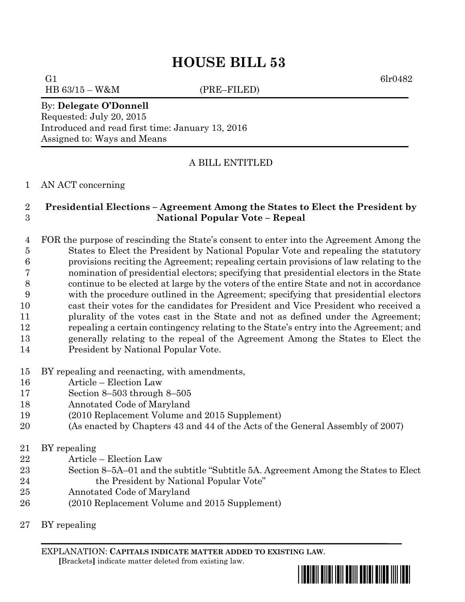G1 6lr0482 HB 63/15 – W&M (PRE–FILED)

By: **Delegate O'Donnell** Requested: July 20, 2015 Introduced and read first time: January 13, 2016 Assigned to: Ways and Means

# A BILL ENTITLED

### AN ACT concerning

## **Presidential Elections – Agreement Among the States to Elect the President by National Popular Vote – Repeal**

 FOR the purpose of rescinding the State's consent to enter into the Agreement Among the States to Elect the President by National Popular Vote and repealing the statutory provisions reciting the Agreement; repealing certain provisions of law relating to the nomination of presidential electors; specifying that presidential electors in the State continue to be elected at large by the voters of the entire State and not in accordance with the procedure outlined in the Agreement; specifying that presidential electors cast their votes for the candidates for President and Vice President who received a plurality of the votes cast in the State and not as defined under the Agreement; repealing a certain contingency relating to the State's entry into the Agreement; and generally relating to the repeal of the Agreement Among the States to Elect the President by National Popular Vote.

- BY repealing and reenacting, with amendments,
- Article Election Law
- Section 8–503 through 8–505
- Annotated Code of Maryland
- (2010 Replacement Volume and 2015 Supplement)
- (As enacted by Chapters 43 and 44 of the Acts of the General Assembly of 2007)
- BY repealing
- Article Election Law
- Section 8–5A–01 and the subtitle "Subtitle 5A. Agreement Among the States to Elect 24 the President by National Popular Vote"
- Annotated Code of Maryland
- (2010 Replacement Volume and 2015 Supplement)
- BY repealing

EXPLANATION: **CAPITALS INDICATE MATTER ADDED TO EXISTING LAW**.  **[**Brackets**]** indicate matter deleted from existing law.

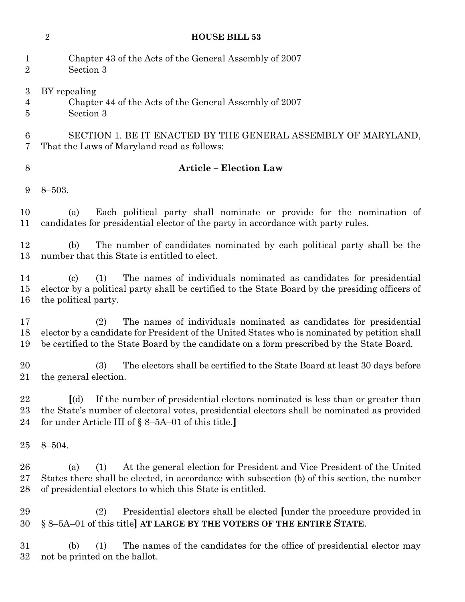- Chapter 43 of the Acts of the General Assembly of 2007 Section 3
- BY repealing Chapter 44 of the Acts of the General Assembly of 2007 Section 3

# SECTION 1. BE IT ENACTED BY THE GENERAL ASSEMBLY OF MARYLAND, That the Laws of Maryland read as follows:

# **Article – Election Law**

8–503.

 (a) Each political party shall nominate or provide for the nomination of candidates for presidential elector of the party in accordance with party rules.

 (b) The number of candidates nominated by each political party shall be the number that this State is entitled to elect.

 (c) (1) The names of individuals nominated as candidates for presidential elector by a political party shall be certified to the State Board by the presiding officers of the political party.

 (2) The names of individuals nominated as candidates for presidential elector by a candidate for President of the United States who is nominated by petition shall be certified to the State Board by the candidate on a form prescribed by the State Board.

 (3) The electors shall be certified to the State Board at least 30 days before the general election.

 **[**(d) If the number of presidential electors nominated is less than or greater than the State's number of electoral votes, presidential electors shall be nominated as provided for under Article III of § 8–5A–01 of this title.**]**

8–504.

 (a) (1) At the general election for President and Vice President of the United States there shall be elected, in accordance with subsection (b) of this section, the number of presidential electors to which this State is entitled.

 (2) Presidential electors shall be elected **[**under the procedure provided in § 8–5A–01 of this title**] AT LARGE BY THE VOTERS OF THE ENTIRE STATE**.

 (b) (1) The names of the candidates for the office of presidential elector may not be printed on the ballot.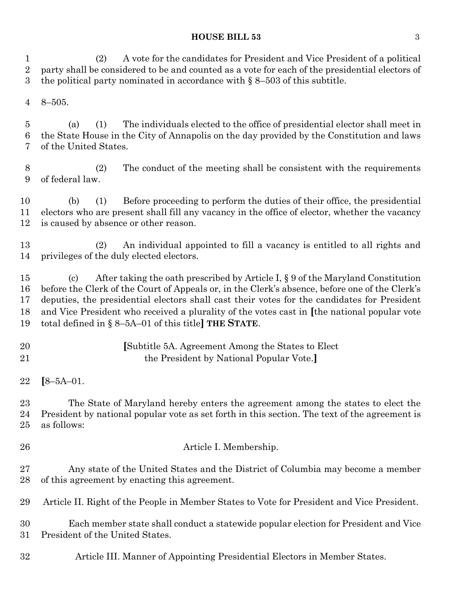### **HOUSE BILL 53** 3

 (2) A vote for the candidates for President and Vice President of a political party shall be considered to be and counted as a vote for each of the presidential electors of the political party nominated in accordance with § 8–503 of this subtitle.

8–505.

 (a) (1) The individuals elected to the office of presidential elector shall meet in the State House in the City of Annapolis on the day provided by the Constitution and laws of the United States.

 (2) The conduct of the meeting shall be consistent with the requirements of federal law.

 (b) (1) Before proceeding to perform the duties of their office, the presidential electors who are present shall fill any vacancy in the office of elector, whether the vacancy is caused by absence or other reason.

 (2) An individual appointed to fill a vacancy is entitled to all rights and privileges of the duly elected electors.

 (c) After taking the oath prescribed by Article I, § 9 of the Maryland Constitution before the Clerk of the Court of Appeals or, in the Clerk's absence, before one of the Clerk's deputies, the presidential electors shall cast their votes for the candidates for President and Vice President who received a plurality of the votes cast in **[**the national popular vote total defined in § 8–5A–01 of this title**] THE STATE**.

 **[**Subtitle 5A. Agreement Among the States to Elect the President by National Popular Vote.**]**

 The State of Maryland hereby enters the agreement among the states to elect the President by national popular vote as set forth in this section. The text of the agreement is as follows:

Article I. Membership.

 Any state of the United States and the District of Columbia may become a member of this agreement by enacting this agreement.

Article II. Right of the People in Member States to Vote for President and Vice President.

 Each member state shall conduct a statewide popular election for President and Vice President of the United States.

Article III. Manner of Appointing Presidential Electors in Member States.

**[**8–5A–01.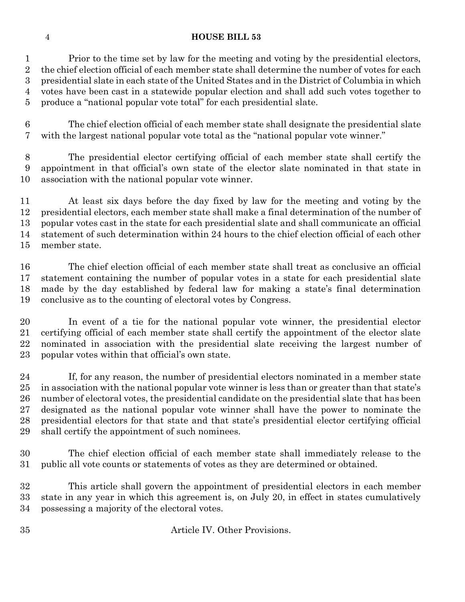Prior to the time set by law for the meeting and voting by the presidential electors, the chief election official of each member state shall determine the number of votes for each presidential slate in each state of the United States and in the District of Columbia in which votes have been cast in a statewide popular election and shall add such votes together to produce a "national popular vote total" for each presidential slate.

 The chief election official of each member state shall designate the presidential slate with the largest national popular vote total as the "national popular vote winner."

 The presidential elector certifying official of each member state shall certify the appointment in that official's own state of the elector slate nominated in that state in association with the national popular vote winner.

 At least six days before the day fixed by law for the meeting and voting by the presidential electors, each member state shall make a final determination of the number of popular votes cast in the state for each presidential slate and shall communicate an official statement of such determination within 24 hours to the chief election official of each other member state.

 The chief election official of each member state shall treat as conclusive an official statement containing the number of popular votes in a state for each presidential slate made by the day established by federal law for making a state's final determination conclusive as to the counting of electoral votes by Congress.

 In event of a tie for the national popular vote winner, the presidential elector certifying official of each member state shall certify the appointment of the elector slate nominated in association with the presidential slate receiving the largest number of popular votes within that official's own state.

 If, for any reason, the number of presidential electors nominated in a member state in association with the national popular vote winner is less than or greater than that state's number of electoral votes, the presidential candidate on the presidential slate that has been designated as the national popular vote winner shall have the power to nominate the presidential electors for that state and that state's presidential elector certifying official shall certify the appointment of such nominees.

 The chief election official of each member state shall immediately release to the public all vote counts or statements of votes as they are determined or obtained.

 This article shall govern the appointment of presidential electors in each member state in any year in which this agreement is, on July 20, in effect in states cumulatively possessing a majority of the electoral votes.

Article IV. Other Provisions.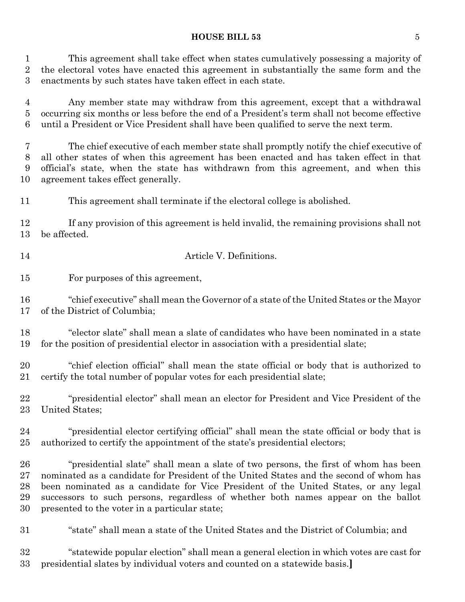#### **HOUSE BILL 53** 5

 This agreement shall take effect when states cumulatively possessing a majority of the electoral votes have enacted this agreement in substantially the same form and the enactments by such states have taken effect in each state.

 Any member state may withdraw from this agreement, except that a withdrawal occurring six months or less before the end of a President's term shall not become effective until a President or Vice President shall have been qualified to serve the next term.

 The chief executive of each member state shall promptly notify the chief executive of all other states of when this agreement has been enacted and has taken effect in that official's state, when the state has withdrawn from this agreement, and when this agreement takes effect generally.

This agreement shall terminate if the electoral college is abolished.

 If any provision of this agreement is held invalid, the remaining provisions shall not be affected.

Article V. Definitions.

For purposes of this agreement,

 "chief executive" shall mean the Governor of a state of the United States or the Mayor of the District of Columbia;

 "elector slate" shall mean a slate of candidates who have been nominated in a state for the position of presidential elector in association with a presidential slate;

 "chief election official" shall mean the state official or body that is authorized to certify the total number of popular votes for each presidential slate;

 "presidential elector" shall mean an elector for President and Vice President of the United States;

 "presidential elector certifying official" shall mean the state official or body that is authorized to certify the appointment of the state's presidential electors;

 "presidential slate" shall mean a slate of two persons, the first of whom has been nominated as a candidate for President of the United States and the second of whom has been nominated as a candidate for Vice President of the United States, or any legal successors to such persons, regardless of whether both names appear on the ballot presented to the voter in a particular state;

"state" shall mean a state of the United States and the District of Columbia; and

 "statewide popular election" shall mean a general election in which votes are cast for presidential slates by individual voters and counted on a statewide basis.**]**